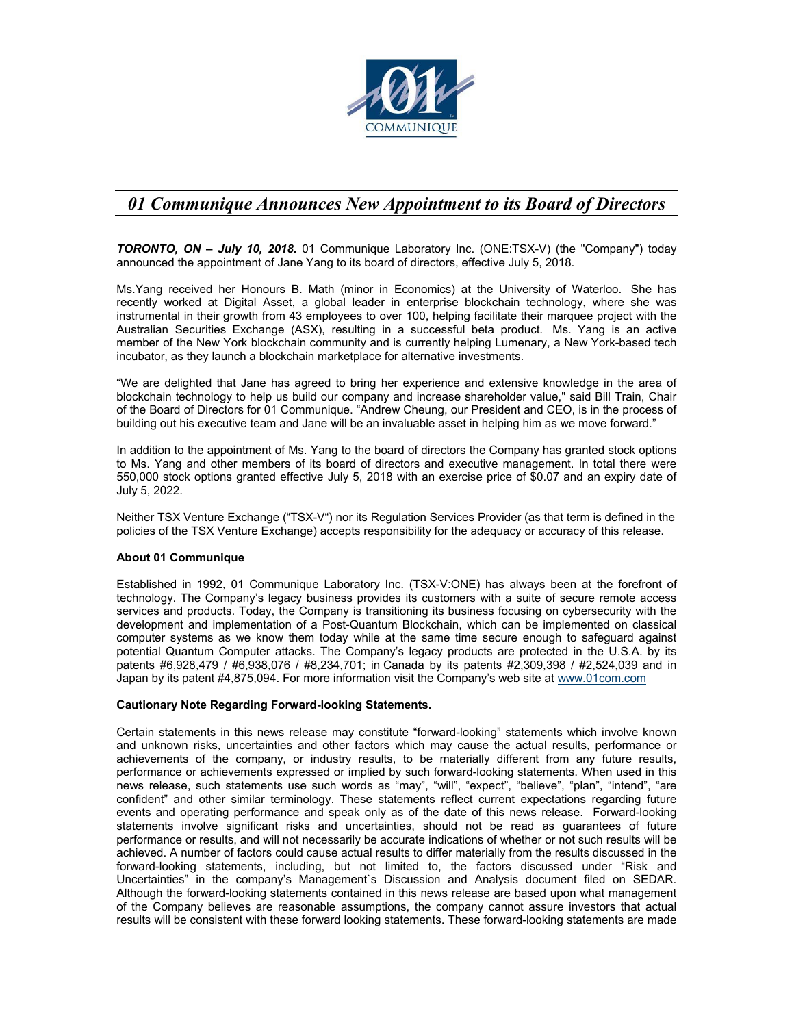

## *01 Communique Announces New Appointment to its Board of Directors*

*TORONTO, ON – July 10, 2018.* 01 Communique Laboratory Inc. (ONE:TSX-V) (the "Company") today announced the appointment of Jane Yang to its board of directors, effective July 5, 2018.

Ms.Yang received her Honours B. Math (minor in Economics) at the University of Waterloo. She has recently worked at Digital Asset, a global leader in enterprise blockchain technology, where she was instrumental in their growth from 43 employees to over 100, helping facilitate their marquee project with the Australian Securities Exchange (ASX), resulting in a successful beta product. Ms. Yang is an active member of the New York blockchain community and is currently helping Lumenary, a New York-based tech incubator, as they launch a blockchain marketplace for alternative investments.

"We are delighted that Jane has agreed to bring her experience and extensive knowledge in the area of blockchain technology to help us build our company and increase shareholder value," said Bill Train, Chair of the Board of Directors for 01 Communique. "Andrew Cheung, our President and CEO, is in the process of building out his executive team and Jane will be an invaluable asset in helping him as we move forward."

In addition to the appointment of Ms. Yang to the board of directors the Company has granted stock options to Ms. Yang and other members of its board of directors and executive management. In total there were 550,000 stock options granted effective July 5, 2018 with an exercise price of \$0.07 and an expiry date of July 5, 2022.

Neither TSX Venture Exchange ("TSX-V") nor its Regulation Services Provider (as that term is defined in the policies of the TSX Venture Exchange) accepts responsibility for the adequacy or accuracy of this release.

## **About 01 Communique**

Established in 1992, 01 Communique Laboratory Inc. (TSX-V:ONE) has always been at the forefront of technology. The Company's legacy business provides its customers with a suite of secure remote access services and products. Today, the Company is transitioning its business focusing on cybersecurity with the development and implementation of a Post-Quantum Blockchain, which can be implemented on classical computer systems as we know them today while at the same time secure enough to safeguard against potential Quantum Computer attacks. The Company's legacy products are protected in the U.S.A. by its patents #6,928,479 / #6,938,076 / #8,234,701; in Canada by its patents #2,309,398 / #2,524,039 and in Japan by its patent #4,875,094. For more information visit the Company's web site at www.01com.com

## **Cautionary Note Regarding Forward-looking Statements.**

Certain statements in this news release may constitute "forward-looking" statements which involve known and unknown risks, uncertainties and other factors which may cause the actual results, performance or achievements of the company, or industry results, to be materially different from any future results, performance or achievements expressed or implied by such forward-looking statements. When used in this news release, such statements use such words as "may", "will", "expect", "believe", "plan", "intend", "are confident" and other similar terminology. These statements reflect current expectations regarding future events and operating performance and speak only as of the date of this news release. Forward-looking statements involve significant risks and uncertainties, should not be read as guarantees of future performance or results, and will not necessarily be accurate indications of whether or not such results will be achieved. A number of factors could cause actual results to differ materially from the results discussed in the forward-looking statements, including, but not limited to, the factors discussed under "Risk and Uncertainties" in the company's Management`s Discussion and Analysis document filed on SEDAR. Although the forward-looking statements contained in this news release are based upon what management of the Company believes are reasonable assumptions, the company cannot assure investors that actual results will be consistent with these forward looking statements. These forward-looking statements are made